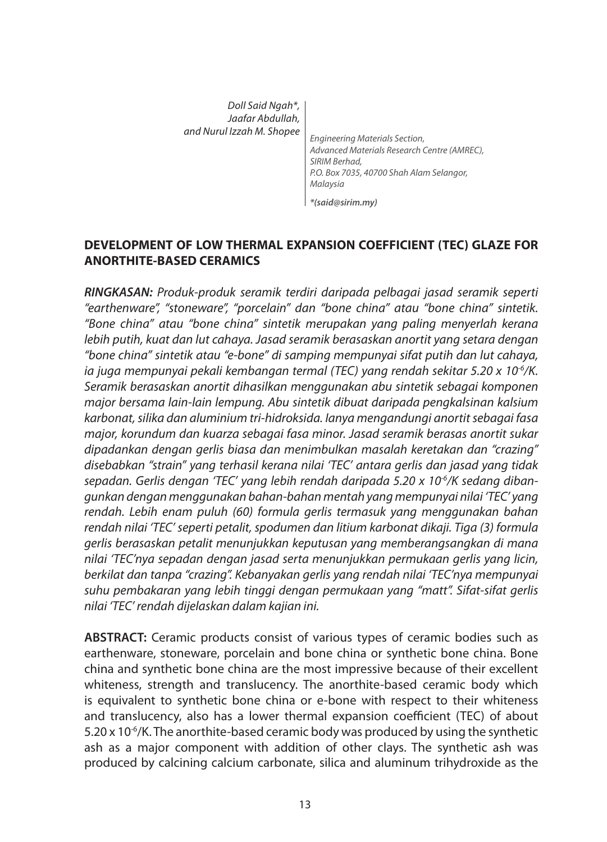| Doll Said Ngah*,<br>Jaafar Abdullah, |                                                                               |
|--------------------------------------|-------------------------------------------------------------------------------|
| and Nurul Izzah M. Shopee            |                                                                               |
|                                      |                                                                               |
|                                      | Engineering Materials Section,<br>Advanced Materials Research Centre (AMREC), |
|                                      | SIRIM Berhad,                                                                 |
|                                      | P.O. Box 7035, 40700 Shah Alam Selangor,                                      |
|                                      |                                                                               |

*\*(said@sirim.my)*

### **DEVELOPMENT OF LOW THERMAL EXPANSION COEFFICIENT (TEC) GLAZE FOR ANORTHITE-BASED CERAMICS**

*RINGKASAN: Produk-produk seramik terdiri daripada pelbagai jasad seramik seperti "earthenware", "stoneware", "porcelain" dan "bone china" atau "bone china" sintetik. "Bone china" atau "bone china" sintetik merupakan yang paling menyerlah kerana lebih putih, kuat dan lut cahaya. Jasad seramik berasaskan anortit yang setara dengan "bone china" sintetik atau "e-bone" di samping mempunyai sifat putih dan lut cahaya, ia juga mempunyai pekali kembangan termal (TEC) yang rendah sekitar 5.20 x 10-6/K. Seramik berasaskan anortit dihasilkan menggunakan abu sintetik sebagai komponen major bersama lain-lain lempung. Abu sintetik dibuat daripada pengkalsinan kalsium karbonat, silika dan aluminium tri-hidroksida. Ianya mengandungi anortit sebagai fasa major, korundum dan kuarza sebagai fasa minor. Jasad seramik berasas anortit sukar dipadankan dengan gerlis biasa dan menimbulkan masalah keretakan dan "crazing" disebabkan "strain" yang terhasil kerana nilai 'TEC' antara gerlis dan jasad yang tidak*  sepadan. Gerlis dengan 'TEC' yang lebih rendah daripada 5.20 x 10<sup>6</sup>/K sedang diban*gunkan dengan menggunakan bahan-bahan mentah yang mempunyai nilai 'TEC' yang rendah. Lebih enam puluh (60) formula gerlis termasuk yang menggunakan bahan rendah nilai 'TEC' seperti petalit, spodumen dan litium karbonat dikaji. Tiga (3) formula gerlis berasaskan petalit menunjukkan keputusan yang memberangsangkan di mana nilai 'TEC'nya sepadan dengan jasad serta menunjukkan permukaan gerlis yang licin, berkilat dan tanpa "crazing". Kebanyakan gerlis yang rendah nilai 'TEC'nya mempunyai suhu pembakaran yang lebih tinggi dengan permukaan yang "matt". Sifat-sifat gerlis nilai 'TEC' rendah dijelaskan dalam kajian ini.*

**ABSTRACT:** Ceramic products consist of various types of ceramic bodies such as earthenware, stoneware, porcelain and bone china or synthetic bone china. Bone china and synthetic bone china are the most impressive because of their excellent whiteness, strength and translucency. The anorthite-based ceramic body which is equivalent to synthetic bone china or e-bone with respect to their whiteness and translucency, also has a lower thermal expansion coefficient (TEC) of about  $5.20 \times 10^{-6}$ /K. The anorthite-based ceramic body was produced by using the synthetic ash as a major component with addition of other clays. The synthetic ash was produced by calcining calcium carbonate, silica and aluminum trihydroxide as the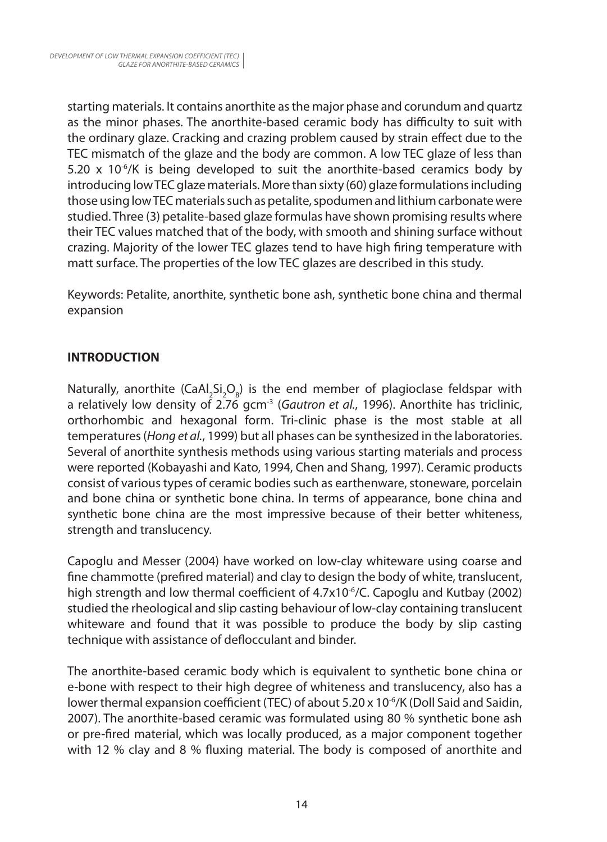starting materials. It contains anorthite as the major phase and corundum and quartz as the minor phases. The anorthite-based ceramic body has difficulty to suit with the ordinary glaze. Cracking and crazing problem caused by strain effect due to the TEC mismatch of the glaze and the body are common. A low TEC glaze of less than 5.20 x 10<sup>-6</sup>/K is being developed to suit the anorthite-based ceramics body by introducing low TEC glaze materials. More than sixty (60) glaze formulations including those using low TEC materials such as petalite, spodumen and lithium carbonate were studied. Three (3) petalite-based glaze formulas have shown promising results where their TEC values matched that of the body, with smooth and shining surface without crazing. Majority of the lower TEC glazes tend to have high firing temperature with matt surface. The properties of the low TEC glazes are described in this study.

Keywords: Petalite, anorthite, synthetic bone ash, synthetic bone china and thermal expansion

# **INTRODUCTION**

Naturally, anorthite (CaAl<sub>2</sub>Si<sub>2</sub>O<sub>8</sub>) is the end member of plagioclase feldspar with a relatively low density of 2.76 gcm-3 (*Gautron et al.*, 1996). Anorthite has triclinic, orthorhombic and hexagonal form. Tri-clinic phase is the most stable at all temperatures (*Hong et al.*, 1999) but all phases can be synthesized in the laboratories. Several of anorthite synthesis methods using various starting materials and process were reported (Kobayashi and Kato, 1994, Chen and Shang, 1997). Ceramic products consist of various types of ceramic bodies such as earthenware, stoneware, porcelain and bone china or synthetic bone china. In terms of appearance, bone china and synthetic bone china are the most impressive because of their better whiteness, strength and translucency.

Capoglu and Messer (2004) have worked on low-clay whiteware using coarse and fine chammotte (prefired material) and clay to design the body of white, translucent, high strength and low thermal coefficient of  $4.7 \times 10^{-6}$ /C. Capoglu and Kutbay (2002) studied the rheological and slip casting behaviour of low-clay containing translucent whiteware and found that it was possible to produce the body by slip casting technique with assistance of deflocculant and binder.

The anorthite-based ceramic body which is equivalent to synthetic bone china or e-bone with respect to their high degree of whiteness and translucency, also has a lower thermal expansion coefficient (TEC) of about 5.20 x 10-6/K (Doll Said and Saidin, 2007). The anorthite-based ceramic was formulated using 80 % synthetic bone ash or pre-fired material, which was locally produced, as a major component together with 12 % clay and 8 % fluxing material. The body is composed of anorthite and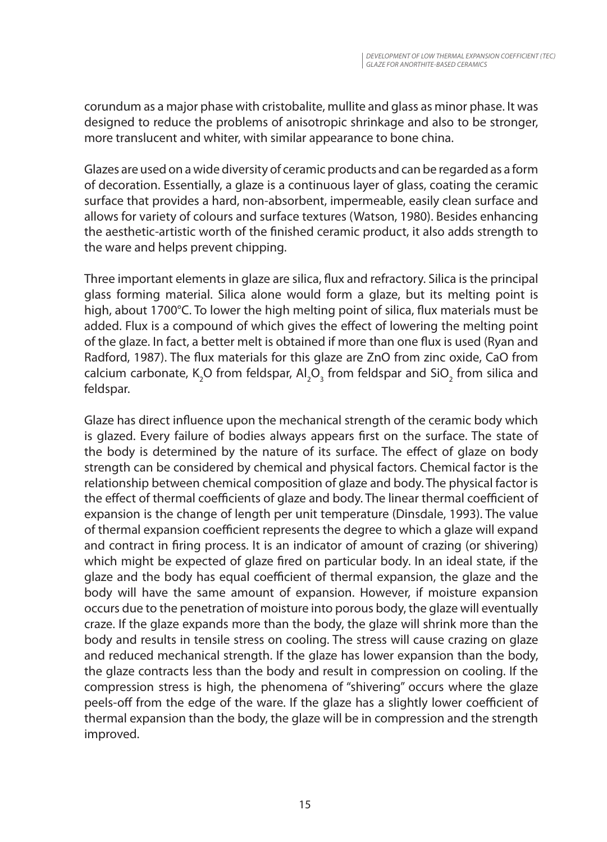corundum as a major phase with cristobalite, mullite and glass as minor phase. It was designed to reduce the problems of anisotropic shrinkage and also to be stronger, more translucent and whiter, with similar appearance to bone china.

Glazes are used on a wide diversity of ceramic products and can be regarded as a form of decoration. Essentially, a glaze is a continuous layer of glass, coating the ceramic surface that provides a hard, non-absorbent, impermeable, easily clean surface and allows for variety of colours and surface textures (Watson, 1980). Besides enhancing the aesthetic-artistic worth of the finished ceramic product, it also adds strength to the ware and helps prevent chipping.

Three important elements in glaze are silica, flux and refractory. Silica is the principal glass forming material. Silica alone would form a glaze, but its melting point is high, about 1700°C. To lower the high melting point of silica, flux materials must be added. Flux is a compound of which gives the effect of lowering the melting point of the glaze. In fact, a better melt is obtained if more than one flux is used (Ryan and Radford, 1987). The flux materials for this glaze are ZnO from zinc oxide, CaO from calcium carbonate, K<sub>2</sub>O from feldspar, Al<sub>2</sub>O<sub>3</sub> from feldspar and SiO<sub>2</sub> from silica and feldspar.

Glaze has direct influence upon the mechanical strength of the ceramic body which is glazed. Every failure of bodies always appears first on the surface. The state of the body is determined by the nature of its surface. The effect of glaze on body strength can be considered by chemical and physical factors. Chemical factor is the relationship between chemical composition of glaze and body. The physical factor is the effect of thermal coefficients of glaze and body. The linear thermal coefficient of expansion is the change of length per unit temperature (Dinsdale, 1993). The value of thermal expansion coefficient represents the degree to which a glaze will expand and contract in firing process. It is an indicator of amount of crazing (or shivering) which might be expected of glaze fired on particular body. In an ideal state, if the glaze and the body has equal coefficient of thermal expansion, the glaze and the body will have the same amount of expansion. However, if moisture expansion occurs due to the penetration of moisture into porous body, the glaze will eventually craze. If the glaze expands more than the body, the glaze will shrink more than the body and results in tensile stress on cooling. The stress will cause crazing on glaze and reduced mechanical strength. If the glaze has lower expansion than the body, the glaze contracts less than the body and result in compression on cooling. If the compression stress is high, the phenomena of "shivering" occurs where the glaze peels-off from the edge of the ware. If the glaze has a slightly lower coefficient of thermal expansion than the body, the glaze will be in compression and the strength improved.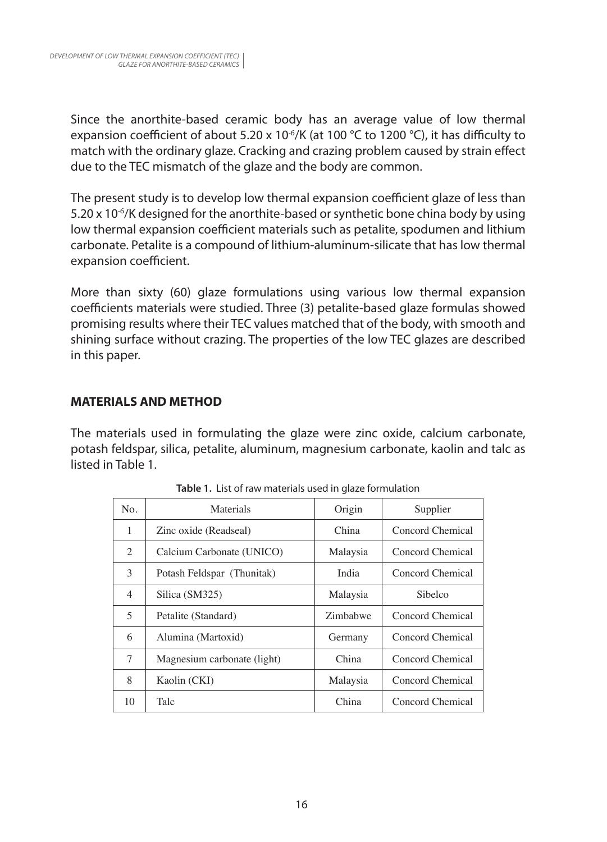Since the anorthite-based ceramic body has an average value of low thermal expansion coefficient of about 5.20 x 10<sup>-6</sup>/K (at 100 °C to 1200 °C), it has difficulty to match with the ordinary glaze. Cracking and crazing problem caused by strain effect due to the TEC mismatch of the glaze and the body are common.

The present study is to develop low thermal expansion coefficient glaze of less than 5.20 x 10-6/K designed for the anorthite-based or synthetic bone china body by using low thermal expansion coefficient materials such as petalite, spodumen and lithium carbonate. Petalite is a compound of lithium-aluminum-silicate that has low thermal expansion coefficient.

More than sixty (60) glaze formulations using various low thermal expansion coefficients materials were studied. Three (3) petalite-based glaze formulas showed promising results where their TEC values matched that of the body, with smooth and shining surface without crazing. The properties of the low TEC glazes are described in this paper.

## **MATERIALS AND METHOD**

The materials used in formulating the glaze were zinc oxide, calcium carbonate, potash feldspar, silica, petalite, aluminum, magnesium carbonate, kaolin and talc as listed in Table 1.

| No.            | Materials                   | Origin   | Supplier         |
|----------------|-----------------------------|----------|------------------|
| 1              | Zinc oxide (Readseal)       | China    | Concord Chemical |
| 2              | Calcium Carbonate (UNICO)   | Malaysia | Concord Chemical |
| 3              | Potash Feldspar (Thunitak)  | India    | Concord Chemical |
| 4              | Silica (SM325)              | Malaysia | Sibelco          |
| $\overline{5}$ | Petalite (Standard)         | Zimbabwe | Concord Chemical |
| 6              | Alumina (Martoxid)          | Germany  | Concord Chemical |
| 7              | Magnesium carbonate (light) | China    | Concord Chemical |
| 8              | Kaolin (CKI)                | Malaysia | Concord Chemical |
| 10             | Talc                        | China    | Concord Chemical |

**Table 1.** List of raw materials used in glaze formulation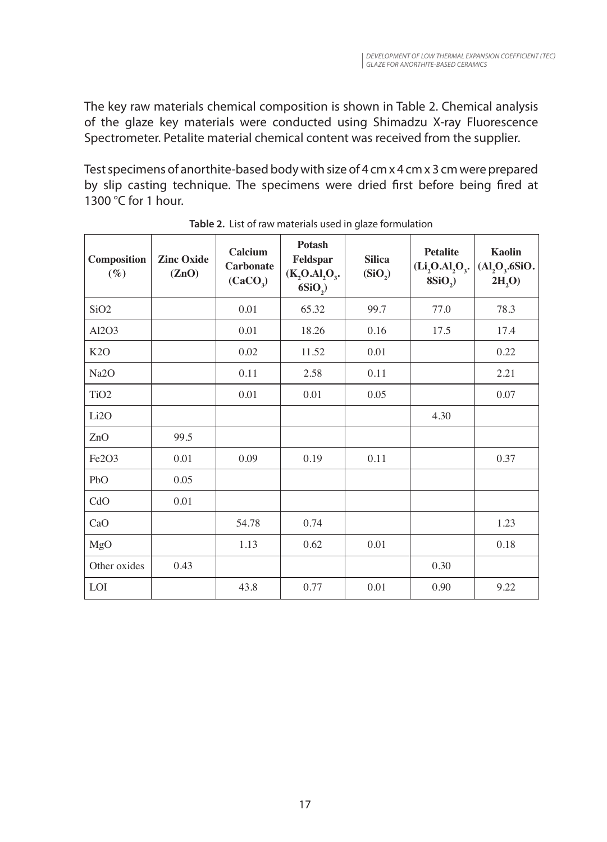The key raw materials chemical composition is shown in Table 2. Chemical analysis of the glaze key materials were conducted using Shimadzu X-ray Fluorescence Spectrometer. Petalite material chemical content was received from the supplier.

Test specimens of anorthite-based body with size of 4 cm x 4 cm x 3 cm were prepared by slip casting technique. The specimens were dried first before being fired at 1300 °C for 1 hour.

| Composition<br>$(\%)$ | <b>Zinc Oxide</b><br>(ZnO) | Calcium<br><b>Carbonate</b><br>(CaCO <sub>3</sub> ) | Potash<br>Feldspar<br>$(K_2O.AI_2O_3.$<br>6SiO <sub>2</sub> | <b>Silica</b><br>(SiO <sub>2</sub> ) | <b>Petalite</b><br>$(Li2O4O3$ .<br>8SiO <sub>2</sub> | Kaolin<br>$(Al2O3$ .6SiO.<br>2H <sub>2</sub> O |
|-----------------------|----------------------------|-----------------------------------------------------|-------------------------------------------------------------|--------------------------------------|------------------------------------------------------|------------------------------------------------|
| SiO <sub>2</sub>      |                            | 0.01                                                | 65.32                                                       | 99.7                                 | 77.0                                                 | 78.3                                           |
| Al2O3                 |                            | 0.01                                                | 18.26                                                       | 0.16                                 | 17.5                                                 | 17.4                                           |
| K2O                   |                            | 0.02                                                | 11.52                                                       | 0.01                                 |                                                      | 0.22                                           |
| Na <sub>2</sub> O     |                            | 0.11                                                | 2.58                                                        | 0.11                                 |                                                      | 2.21                                           |
| TiO <sub>2</sub>      |                            | 0.01                                                | 0.01                                                        | 0.05                                 |                                                      | 0.07                                           |
| Li2O                  |                            |                                                     |                                                             |                                      | 4.30                                                 |                                                |
| ZnO                   | 99.5                       |                                                     |                                                             |                                      |                                                      |                                                |
| Fe2O3                 | 0.01                       | 0.09                                                | 0.19                                                        | 0.11                                 |                                                      | 0.37                                           |
| PbO                   | 0.05                       |                                                     |                                                             |                                      |                                                      |                                                |
| CdO                   | 0.01                       |                                                     |                                                             |                                      |                                                      |                                                |
| CaO                   |                            | 54.78                                               | 0.74                                                        |                                      |                                                      | 1.23                                           |
| MgO                   |                            | 1.13                                                | 0.62                                                        | 0.01                                 |                                                      | 0.18                                           |
| Other oxides          | 0.43                       |                                                     |                                                             |                                      | 0.30                                                 |                                                |
| LOI                   |                            | 43.8                                                | 0.77                                                        | 0.01                                 | 0.90                                                 | 9.22                                           |

**Table 2.** List of raw materials used in glaze formulation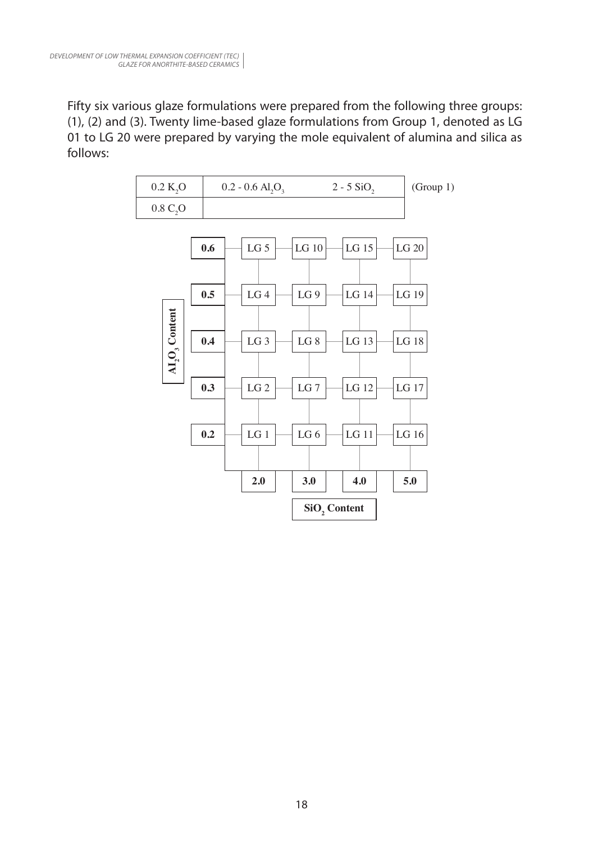Fifty six various glaze formulations were prepared from the following three groups: (1), (2) and (3). Twenty lime-based glaze formulations from Group 1, denoted as LG 01 to LG 20 were prepared by varying the mole equivalent of alumina and silica as follows:

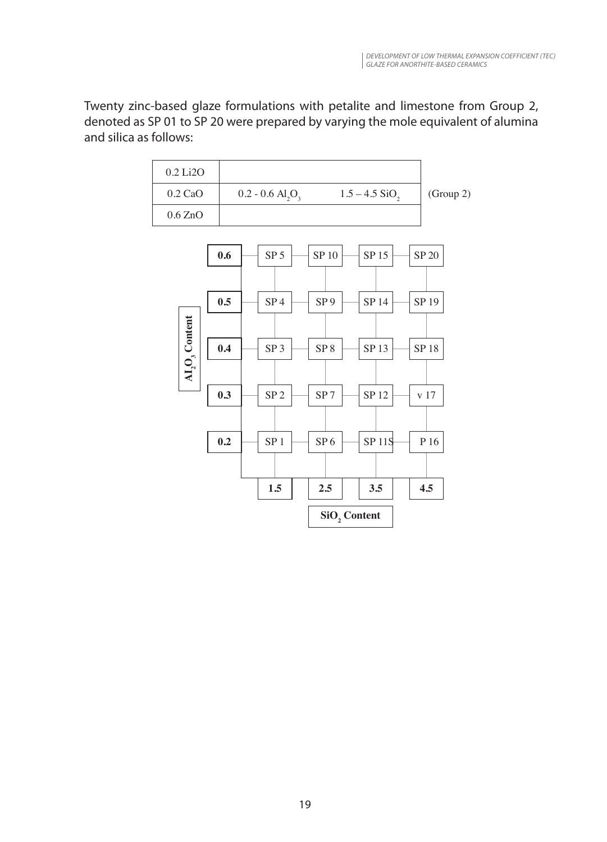Twenty zinc-based glaze formulations with petalite and limestone from Group 2, denoted as SP 01 to SP 20 were prepared by varying the mole equivalent of alumina and silica as follows:



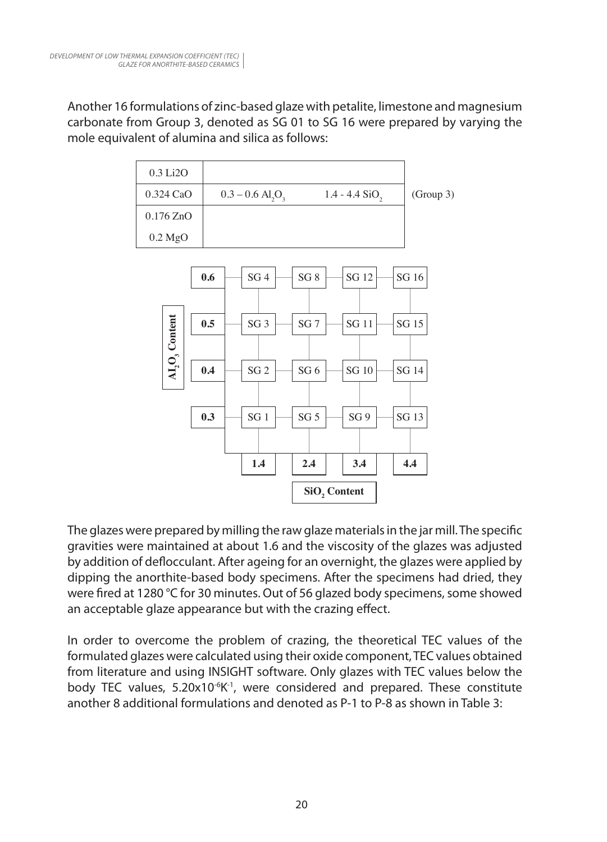Another 16 formulations of zinc-based glaze with petalite, limestone and magnesium carbonate from Group 3, denoted as SG 01 to SG 16 were prepared by varying the mole equivalent of alumina and silica as follows:



The glazes were prepared by milling the raw glaze materials in the jar mill. The specific gravities were maintained at about 1.6 and the viscosity of the glazes was adjusted by addition of deflocculant. After ageing for an overnight, the glazes were applied by dipping the anorthite-based body specimens. After the specimens had dried, they were fired at 1280 °C for 30 minutes. Out of 56 glazed body specimens, some showed an acceptable glaze appearance but with the crazing effect.

In order to overcome the problem of crazing, the theoretical TEC values of the formulated glazes were calculated using their oxide component, TEC values obtained from literature and using INSIGHT software. Only glazes with TEC values below the body TEC values, 5.20x10<sup>-6</sup>K<sup>-1</sup>, were considered and prepared. These constitute another 8 additional formulations and denoted as P-1 to P-8 as shown in Table 3: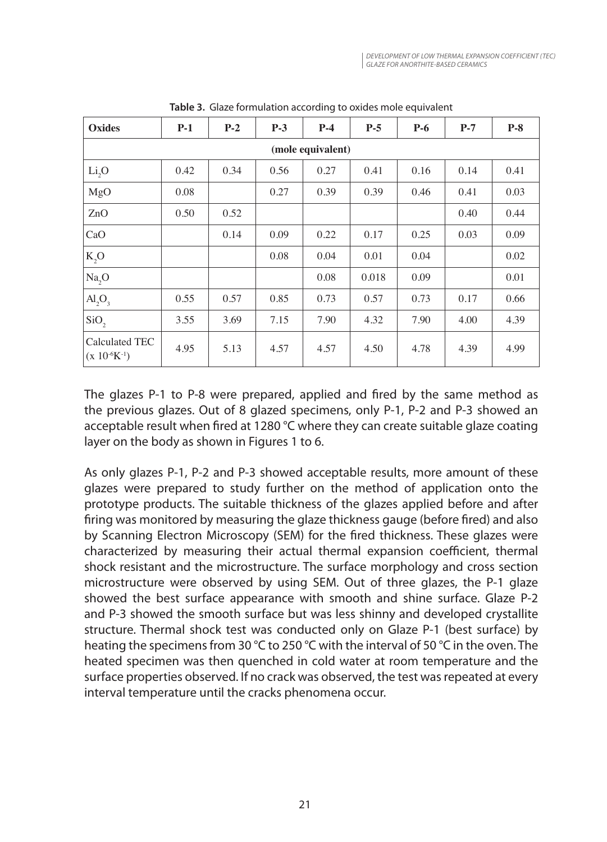| <b>Oxides</b>                         | $P-1$ | $P-2$ | $P-3$ | $P-4$ | $P-5$ | $P-6$ | $P-7$ | $P-8$ |  |
|---------------------------------------|-------|-------|-------|-------|-------|-------|-------|-------|--|
| (mole equivalent)                     |       |       |       |       |       |       |       |       |  |
| Li <sub>2</sub> O                     | 0.42  | 0.34  | 0.56  | 0.27  | 0.41  | 0.16  | 0.14  | 0.41  |  |
| MgO                                   | 0.08  |       | 0.27  | 0.39  | 0.39  | 0.46  | 0.41  | 0.03  |  |
| ZnO                                   | 0.50  | 0.52  |       |       |       |       | 0.40  | 0.44  |  |
| CaO                                   |       | 0.14  | 0.09  | 0.22  | 0.17  | 0.25  | 0.03  | 0.09  |  |
| K, O                                  |       |       | 0.08  | 0.04  | 0.01  | 0.04  |       | 0.02  |  |
| Na, O                                 |       |       |       | 0.08  | 0.018 | 0.09  |       | 0.01  |  |
| $\text{Al}_2\text{O}_3$               | 0.55  | 0.57  | 0.85  | 0.73  | 0.57  | 0.73  | 0.17  | 0.66  |  |
| SiO <sub>2</sub>                      | 3.55  | 3.69  | 7.15  | 7.90  | 4.32  | 7.90  | 4.00  | 4.39  |  |
| Calculated TEC<br>$(x 10^{-6}K^{-1})$ | 4.95  | 5.13  | 4.57  | 4.57  | 4.50  | 4.78  | 4.39  | 4.99  |  |

**Table 3.** Glaze formulation according to oxides mole equivalent

The glazes P-1 to P-8 were prepared, applied and fired by the same method as the previous glazes. Out of 8 glazed specimens, only P-1, P-2 and P-3 showed an acceptable result when fired at 1280 °C where they can create suitable glaze coating layer on the body as shown in Figures 1 to 6.

As only glazes P-1, P-2 and P-3 showed acceptable results, more amount of these glazes were prepared to study further on the method of application onto the prototype products. The suitable thickness of the glazes applied before and after firing was monitored by measuring the glaze thickness gauge (before fired) and also by Scanning Electron Microscopy (SEM) for the fired thickness. These glazes were characterized by measuring their actual thermal expansion coefficient, thermal shock resistant and the microstructure. The surface morphology and cross section microstructure were observed by using SEM. Out of three glazes, the P-1 glaze showed the best surface appearance with smooth and shine surface. Glaze P-2 and P-3 showed the smooth surface but was less shinny and developed crystallite structure. Thermal shock test was conducted only on Glaze P-1 (best surface) by heating the specimens from 30 °C to 250 °C with the interval of 50 °C in the oven. The heated specimen was then quenched in cold water at room temperature and the surface properties observed. If no crack was observed, the test was repeated at every interval temperature until the cracks phenomena occur.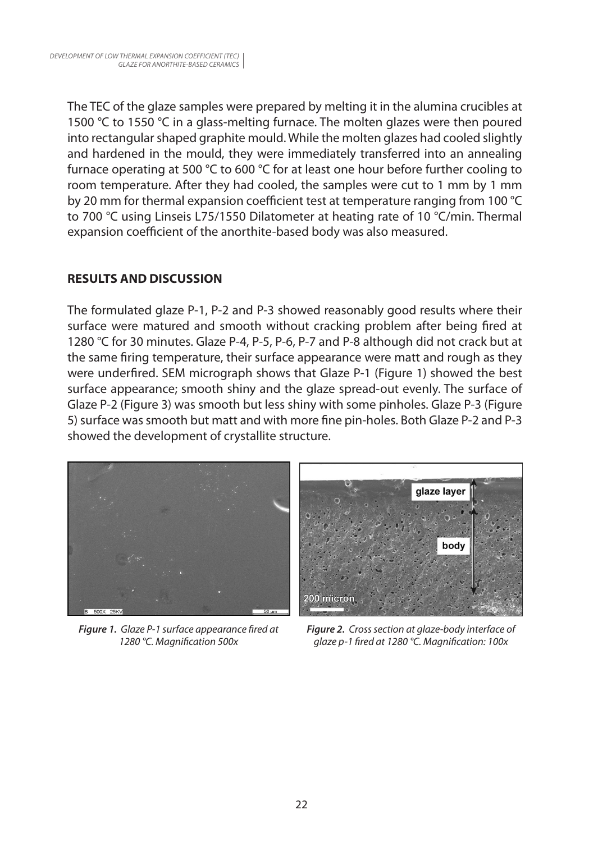The TEC of the glaze samples were prepared by melting it in the alumina crucibles at 1500 °C to 1550 °C in a glass-melting furnace. The molten glazes were then poured into rectangular shaped graphite mould. While the molten glazes had cooled slightly and hardened in the mould, they were immediately transferred into an annealing furnace operating at 500 °C to 600 °C for at least one hour before further cooling to room temperature. After they had cooled, the samples were cut to 1 mm by 1 mm by 20 mm for thermal expansion coefficient test at temperature ranging from 100 °C to 700 °C using Linseis L75/1550 Dilatometer at heating rate of 10 °C/min. Thermal expansion coefficient of the anorthite-based body was also measured.

# **RESULTS AND DISCUSSION**

The formulated glaze P-1, P-2 and P-3 showed reasonably good results where their surface were matured and smooth without cracking problem after being fired at 1280 °C for 30 minutes. Glaze P-4, P-5, P-6, P-7 and P-8 although did not crack but at the same firing temperature, their surface appearance were matt and rough as they were underfired. SEM micrograph shows that Glaze P-1 (Figure 1) showed the best surface appearance; smooth shiny and the glaze spread-out evenly. The surface of Glaze P-2 (Figure 3) was smooth but less shiny with some pinholes. Glaze P-3 (Figure 5) surface was smooth but matt and with more fine pin-holes. Both Glaze P-2 and P-3 showed the development of crystallite structure.



*Figure 1. Glaze P-1 surface appearance fired at 1280 °C. Magnification 500x*



*Figure 2. Cross section at glaze-body interface of glaze p-1 fired at 1280 °C. Magnification: 100x*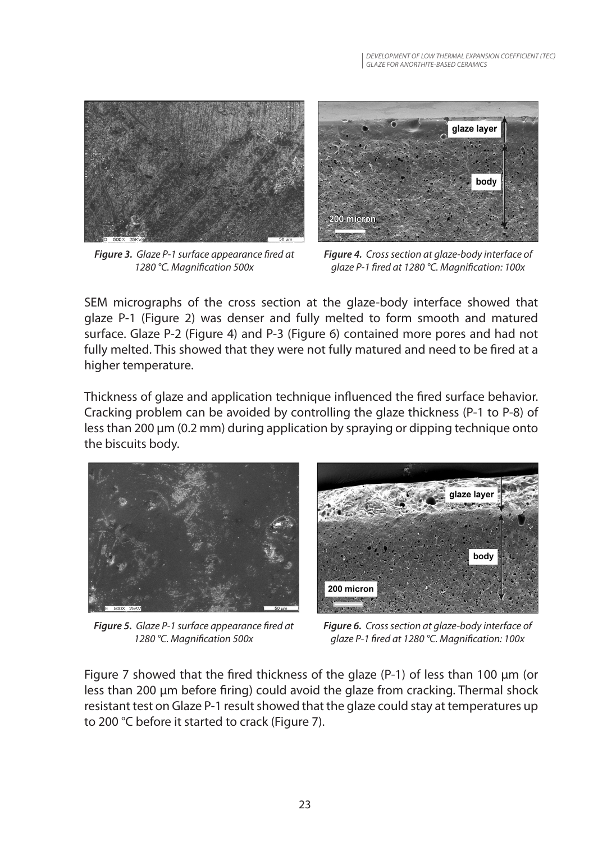

*Figure 3. Glaze P-1 surface appearance fired at 1280 °C. Magnification 500x*



*Figure 4. Cross section at glaze-body interface of glaze P-1 fired at 1280 °C. Magnification: 100x*

SEM micrographs of the cross section at the glaze-body interface showed that glaze P-1 (Figure 2) was denser and fully melted to form smooth and matured surface. Glaze P-2 (Figure 4) and P-3 (Figure 6) contained more pores and had not fully melted. This showed that they were not fully matured and need to be fired at a higher temperature.

Thickness of glaze and application technique influenced the fired surface behavior. Cracking problem can be avoided by controlling the glaze thickness (P-1 to P-8) of less than 200 µm (0.2 mm) during application by spraying or dipping technique onto the biscuits body.



*Figure 5. Glaze P-1 surface appearance fired at 1280 °C. Magnification 500x*



*Figure 6. Cross section at glaze-body interface of glaze P-1 fired at 1280 °C. Magnification: 100x*

Figure 7 showed that the fired thickness of the glaze (P-1) of less than 100 µm (or less than 200 µm before firing) could avoid the glaze from cracking. Thermal shock resistant test on Glaze P-1 result showed that the glaze could stay at temperatures up to 200 °C before it started to crack (Figure 7).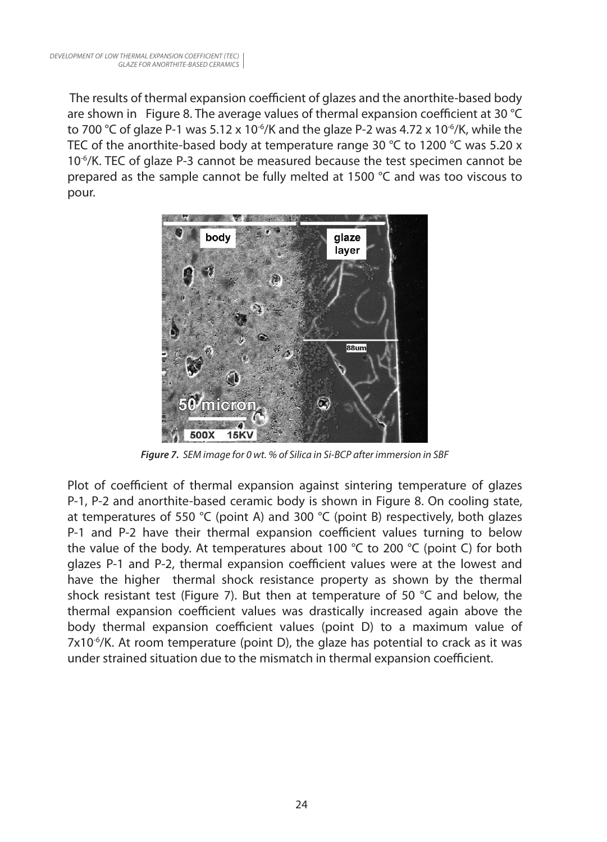The results of thermal expansion coefficient of glazes and the anorthite-based body are shown in Figure 8. The average values of thermal expansion coefficient at 30 °C to 700 °C of glaze P-1 was 5.12 x 10<sup>-6</sup>/K and the glaze P-2 was 4.72 x 10<sup>-6</sup>/K, while the TEC of the anorthite-based body at temperature range 30 °C to 1200 °C was 5.20  $\times$ 10-6/K. TEC of glaze P-3 cannot be measured because the test specimen cannot be prepared as the sample cannot be fully melted at 1500 °C and was too viscous to pour.



*Figure 7. SEM image for 0 wt. % of Silica in Si-BCP after immersion in SBF*

Plot of coefficient of thermal expansion against sintering temperature of glazes P-1, P-2 and anorthite-based ceramic body is shown in Figure 8. On cooling state, at temperatures of 550 °C (point A) and 300 °C (point B) respectively, both glazes P-1 and P-2 have their thermal expansion coefficient values turning to below the value of the body. At temperatures about 100 °C to 200 °C (point C) for both glazes P-1 and P-2, thermal expansion coefficient values were at the lowest and have the higher thermal shock resistance property as shown by the thermal shock resistant test (Figure 7). But then at temperature of 50  $^{\circ}$ C and below, the thermal expansion coefficient values was drastically increased again above the body thermal expansion coefficient values (point D) to a maximum value of  $7x10^{-6}$ /K. At room temperature (point D), the glaze has potential to crack as it was under strained situation due to the mismatch in thermal expansion coefficient.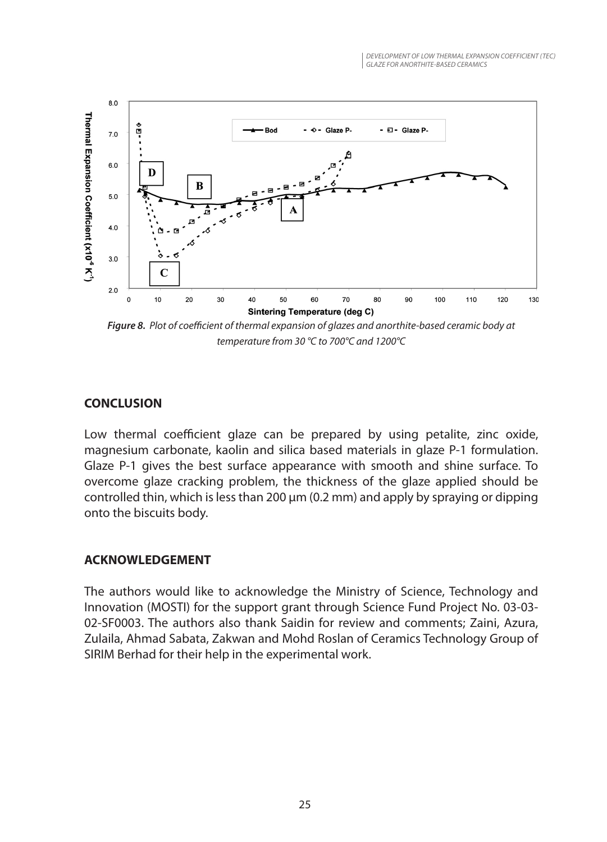

*Figure 8. Plot of coefficient of thermal expansion of glazes and anorthite-based ceramic body at temperature from 30 °C to 700°C and 1200°C*

## **CONCLUSION**

Low thermal coefficient glaze can be prepared by using petalite, zinc oxide, magnesium carbonate, kaolin and silica based materials in glaze P-1 formulation. Glaze P-1 gives the best surface appearance with smooth and shine surface. To overcome glaze cracking problem, the thickness of the glaze applied should be controlled thin, which is less than 200  $\mu$ m (0.2 mm) and apply by spraying or dipping onto the biscuits body.

#### **ACKNOWLEDGEMENT**

The authors would like to acknowledge the Ministry of Science, Technology and Innovation (MOSTI) for the support grant through Science Fund Project No. 03-03- 02-SF0003. The authors also thank Saidin for review and comments; Zaini, Azura, Zulaila, Ahmad Sabata, Zakwan and Mohd Roslan of Ceramics Technology Group of SIRIM Berhad for their help in the experimental work.